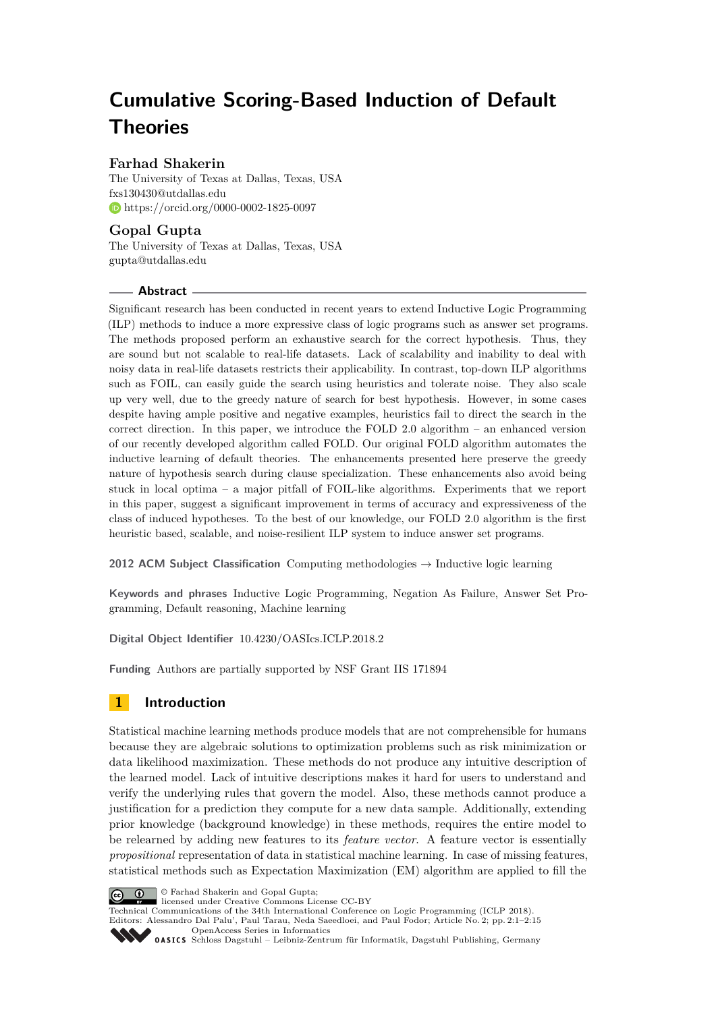# **Cumulative Scoring-Based Induction of Default Theories**

## **Farhad Shakerin**

The University of Texas at Dallas, Texas, USA [fxs130430@utdallas.edu](mailto:fxs130430@utdallas.edu) <https://orcid.org/0000-0002-1825-0097>

## **Gopal Gupta**

The University of Texas at Dallas, Texas, USA [gupta@utdallas.edu](mailto:gupta@utdallas.edu)

#### **Abstract**

Significant research has been conducted in recent years to extend Inductive Logic Programming (ILP) methods to induce a more expressive class of logic programs such as answer set programs. The methods proposed perform an exhaustive search for the correct hypothesis. Thus, they are sound but not scalable to real-life datasets. Lack of scalability and inability to deal with noisy data in real-life datasets restricts their applicability. In contrast, top-down ILP algorithms such as FOIL, can easily guide the search using heuristics and tolerate noise. They also scale up very well, due to the greedy nature of search for best hypothesis. However, in some cases despite having ample positive and negative examples, heuristics fail to direct the search in the correct direction. In this paper, we introduce the FOLD 2.0 algorithm – an enhanced version of our recently developed algorithm called FOLD. Our original FOLD algorithm automates the inductive learning of default theories. The enhancements presented here preserve the greedy nature of hypothesis search during clause specialization. These enhancements also avoid being stuck in local optima – a major pitfall of FOIL-like algorithms. Experiments that we report in this paper, suggest a significant improvement in terms of accuracy and expressiveness of the class of induced hypotheses. To the best of our knowledge, our FOLD 2.0 algorithm is the first heuristic based, scalable, and noise-resilient ILP system to induce answer set programs.

**2012 ACM Subject Classification** Computing methodologies → Inductive logic learning

**Keywords and phrases** Inductive Logic Programming, Negation As Failure, Answer Set Programming, Default reasoning, Machine learning

**Digital Object Identifier** [10.4230/OASIcs.ICLP.2018.2](https://doi.org/10.4230/OASIcs.ICLP.2018.2)

**Funding** Authors are partially supported by NSF Grant IIS 171894

# **1 Introduction**

Statistical machine learning methods produce models that are not comprehensible for humans because they are algebraic solutions to optimization problems such as risk minimization or data likelihood maximization. These methods do not produce any intuitive description of the learned model. Lack of intuitive descriptions makes it hard for users to understand and verify the underlying rules that govern the model. Also, these methods cannot produce a justification for a prediction they compute for a new data sample. Additionally, extending prior knowledge (background knowledge) in these methods, requires the entire model to be relearned by adding new features to its *feature vector*. A feature vector is essentially *propositional* representation of data in statistical machine learning. In case of missing features, statistical methods such as Expectation Maximization (EM) algorithm are applied to fill the



© Farhad Shakerin and Gopal Gupta;

licensed under Creative Commons License CC-BY

Technical Communications of the 34th International Conference on Logic Programming (ICLP 2018). Editors: Alessandro Dal Palu', Paul Tarau, Neda Saeedloei, and Paul Fodor; Article No. 2; pp. 2:1–2[:15](#page-14-0)

[OpenAccess Series in Informatics](http://www.dagstuhl.de/oasics/)

[Schloss Dagstuhl – Leibniz-Zentrum für Informatik, Dagstuhl Publishing, Germany](http://www.dagstuhl.de)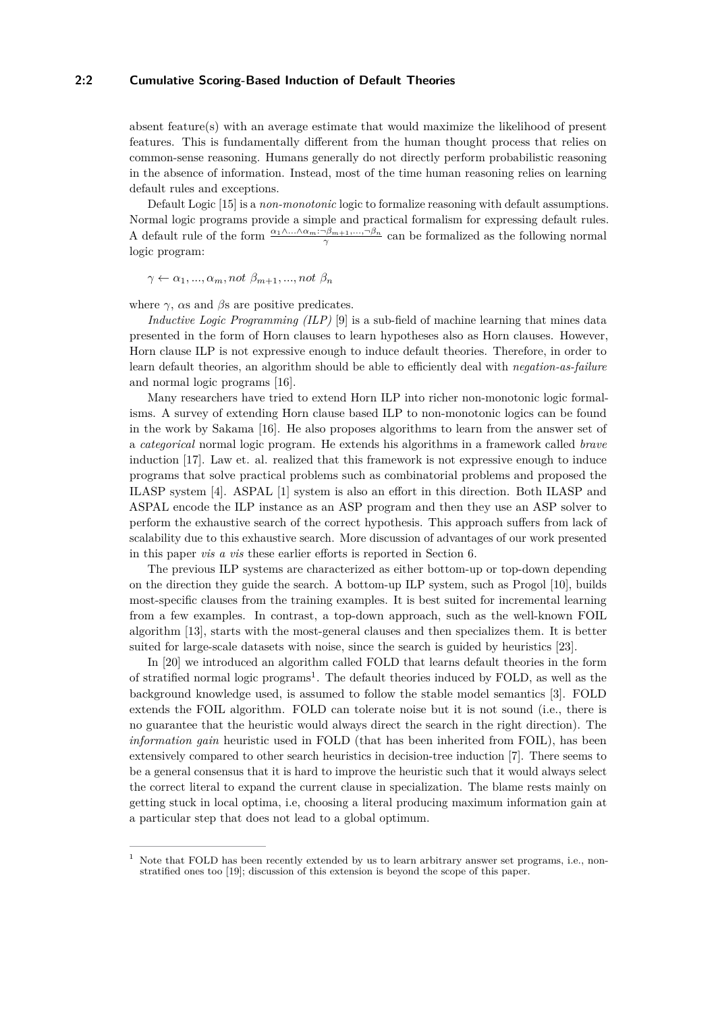#### **2:2 Cumulative Scoring-Based Induction of Default Theories**

absent feature(s) with an average estimate that would maximize the likelihood of present features. This is fundamentally different from the human thought process that relies on common-sense reasoning. Humans generally do not directly perform probabilistic reasoning in the absence of information. Instead, most of the time human reasoning relies on learning default rules and exceptions.

Default Logic [\[15\]](#page-13-0) is a *non-monotonic* logic to formalize reasoning with default assumptions. Normal logic programs provide a simple and practical formalism for expressing default rules. A default rule of the form  $\frac{\alpha_1 \wedge \dots \wedge \alpha_m : \neg \beta_{m+1}, \dots, \neg \beta_n}{\gamma}$  can be formalized as the following normal logic program:

 $\gamma \leftarrow \alpha_1, ..., \alpha_m, not \ \beta_{m+1}, ..., not \ \beta_n$ 

where  $\gamma$ ,  $\alpha s$  and  $\beta s$  are positive predicates.

*Inductive Logic Programming (ILP)* [\[9\]](#page-13-1) is a sub-field of machine learning that mines data presented in the form of Horn clauses to learn hypotheses also as Horn clauses. However, Horn clause ILP is not expressive enough to induce default theories. Therefore, in order to learn default theories, an algorithm should be able to efficiently deal with *negation-as-failure* and normal logic programs [\[16\]](#page-13-2).

Many researchers have tried to extend Horn ILP into richer non-monotonic logic formalisms. A survey of extending Horn clause based ILP to non-monotonic logics can be found in the work by Sakama [\[16\]](#page-13-2). He also proposes algorithms to learn from the answer set of a *categorical* normal logic program. He extends his algorithms in a framework called *brave* induction [\[17\]](#page-13-3). Law et. al. realized that this framework is not expressive enough to induce programs that solve practical problems such as combinatorial problems and proposed the ILASP system [\[4\]](#page-13-4). ASPAL [\[1\]](#page-12-0) system is also an effort in this direction. Both ILASP and ASPAL encode the ILP instance as an ASP program and then they use an ASP solver to perform the exhaustive search of the correct hypothesis. This approach suffers from lack of scalability due to this exhaustive search. More discussion of advantages of our work presented in this paper *vis a vis* these earlier efforts is reported in Section [6.](#page-11-0)

The previous ILP systems are characterized as either bottom-up or top-down depending on the direction they guide the search. A bottom-up ILP system, such as Progol [\[10\]](#page-13-5), builds most-specific clauses from the training examples. It is best suited for incremental learning from a few examples. In contrast, a top-down approach, such as the well-known FOIL algorithm [\[13\]](#page-13-6), starts with the most-general clauses and then specializes them. It is better suited for large-scale datasets with noise, since the search is guided by heuristics [\[23\]](#page-14-1).

In [\[20\]](#page-13-7) we introduced an algorithm called FOLD that learns default theories in the form of stratified normal logic programs<sup>[1](#page-1-0)</sup>. The default theories induced by FOLD, as well as the background knowledge used, is assumed to follow the stable model semantics [\[3\]](#page-13-8). FOLD extends the FOIL algorithm. FOLD can tolerate noise but it is not sound (i.e., there is no guarantee that the heuristic would always direct the search in the right direction). The *information gain* heuristic used in FOLD (that has been inherited from FOIL), has been extensively compared to other search heuristics in decision-tree induction [\[7\]](#page-13-9). There seems to be a general consensus that it is hard to improve the heuristic such that it would always select the correct literal to expand the current clause in specialization. The blame rests mainly on getting stuck in local optima, i.e, choosing a literal producing maximum information gain at a particular step that does not lead to a global optimum.

<span id="page-1-0"></span>Note that FOLD has been recently extended by us to learn arbitrary answer set programs, i.e., nonstratified ones too [\[19\]](#page-13-10); discussion of this extension is beyond the scope of this paper.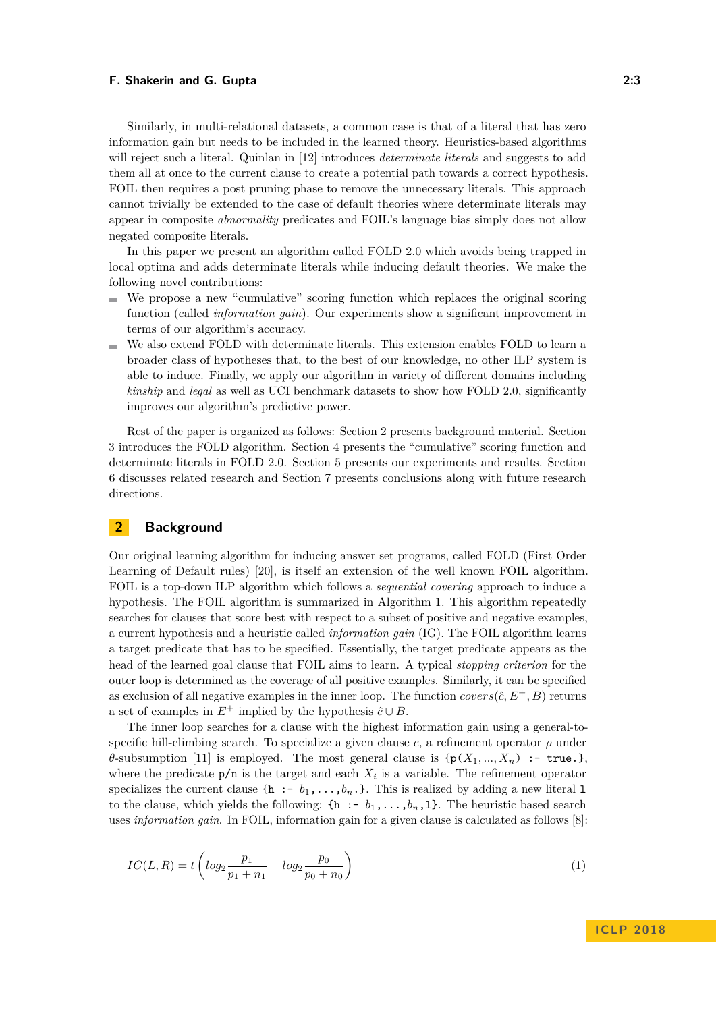Similarly, in multi-relational datasets, a common case is that of a literal that has zero information gain but needs to be included in the learned theory. Heuristics-based algorithms will reject such a literal. Quinlan in [\[12\]](#page-13-11) introduces *determinate literals* and suggests to add them all at once to the current clause to create a potential path towards a correct hypothesis. FOIL then requires a post pruning phase to remove the unnecessary literals. This approach cannot trivially be extended to the case of default theories where determinate literals may appear in composite *abnormality* predicates and FOIL's language bias simply does not allow negated composite literals.

In this paper we present an algorithm called FOLD 2.0 which avoids being trapped in local optima and adds determinate literals while inducing default theories. We make the following novel contributions:

- We propose a new "cumulative" scoring function which replaces the original scoring m. function (called *information gain*). Our experiments show a significant improvement in terms of our algorithm's accuracy.
- We also extend FOLD with determinate literals. This extension enables FOLD to learn a broader class of hypotheses that, to the best of our knowledge, no other ILP system is able to induce. Finally, we apply our algorithm in variety of different domains including *kinship* and *legal* as well as UCI benchmark datasets to show how FOLD 2.0, significantly improves our algorithm's predictive power.

Rest of the paper is organized as follows: Section [2](#page-2-0) presents background material. Section [3](#page-3-0) introduces the FOLD algorithm. Section [4](#page-6-0) presents the "cumulative" scoring function and determinate literals in FOLD 2.0. Section [5](#page-9-0) presents our experiments and results. Section [6](#page-11-0) discusses related research and Section [7](#page-12-1) presents conclusions along with future research directions.

## <span id="page-2-0"></span>**2 Background**

Our original learning algorithm for inducing answer set programs, called FOLD (First Order Learning of Default rules) [\[20\]](#page-13-7), is itself an extension of the well known FOIL algorithm. FOIL is a top-down ILP algorithm which follows a *sequential covering* approach to induce a hypothesis. The FOIL algorithm is summarized in Algorithm [1.](#page-3-1) This algorithm repeatedly searches for clauses that score best with respect to a subset of positive and negative examples, a current hypothesis and a heuristic called *information gain* (IG). The FOIL algorithm learns a target predicate that has to be specified. Essentially, the target predicate appears as the head of the learned goal clause that FOIL aims to learn. A typical *stopping criterion* for the outer loop is determined as the coverage of all positive examples. Similarly, it can be specified as exclusion of all negative examples in the inner loop. The function  $\text{covers}(\hat{c}, E^+, B)$  returns a set of examples in  $E^+$  implied by the hypothesis  $\hat{c} \cup B$ .

The inner loop searches for a clause with the highest information gain using a general-tospecific hill-climbing search. To specialize a given clause  $c$ , a refinement operator  $\rho$  under *θ*-subsumption [\[11\]](#page-13-12) is employed. The most general clause is  ${\{p(X_1, ..., X_n) : \text{true.}\}}$ where the predicate  $p/n$  is the target and each  $X_i$  is a variable. The refinement operator specializes the current clause  ${\hbox{\bf\{h}}} := b_1, \ldots, b_n$ . This is realized by adding a new literal 1 to the clause, which yields the following:  $\{\mathbf{h} : \{-b_1, \ldots, b_n, 1\}$ . The heuristic based search uses *information gain*. In FOIL, information gain for a given clause is calculated as follows [\[8\]](#page-13-13):

$$
IG(L, R) = t \left( \log_2 \frac{p_1}{p_1 + n_1} - \log_2 \frac{p_0}{p_0 + n_0} \right)
$$
\n(1)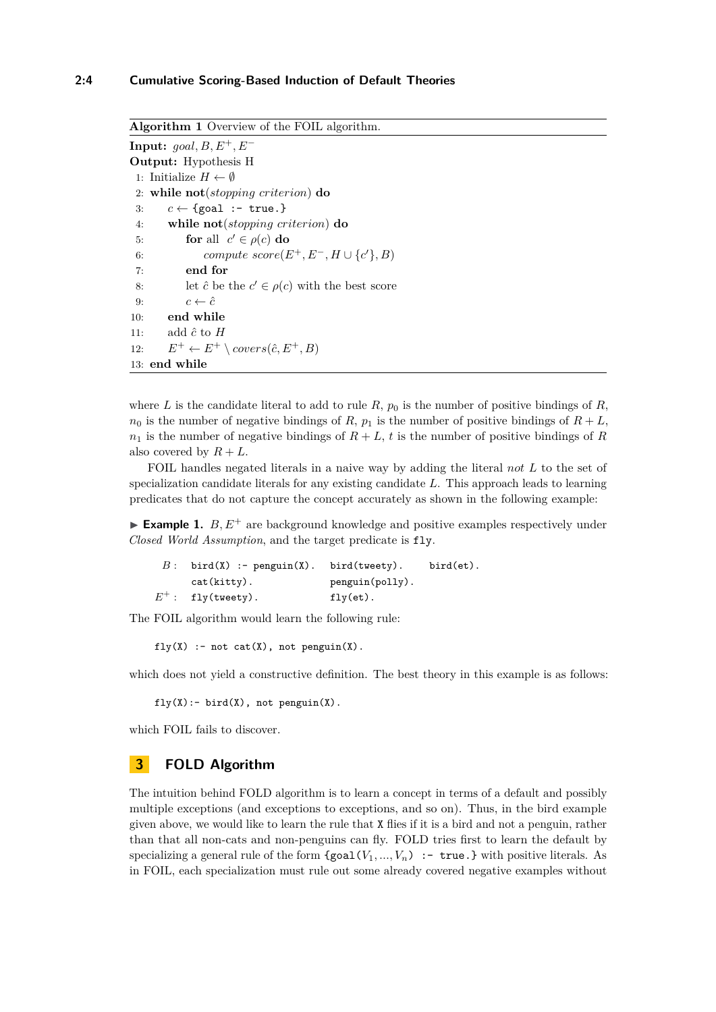### **2:4 Cumulative Scoring-Based Induction of Default Theories**

```
Algorithm 1 Overview of the FOIL algorithm.
Input: goal, B, E^+, E^-Output: Hypothesis H
 1: Initialize H \leftarrow \emptyset2: while not(stopping criterion) do
 3: c \leftarrow \{ \text{goal} : - \text{ true.} \}4: while not(stopping criterion) do
 5: for all c' \in \rho(c) do
 6: compute score(E^+, E^-, H \cup \{c'\}, B)
 7: end for
 8: let \hat{c} be the c' \in \rho(c) with the best score
 9: c \leftarrow \hat{c}10: end while
11: add \hat{c} to H12: E^+ \leftarrow E^+ \setminus covers(\hat{c}, E^+, B)13: end while
```
where *L* is the candidate literal to add to rule  $R$ ,  $p_0$  is the number of positive bindings of  $R$ ,  $n_0$  is the number of negative bindings of *R*,  $p_1$  is the number of positive bindings of  $R + L$ ,  $n_1$  is the number of negative bindings of  $R + L$ , *t* is the number of positive bindings of *R* also covered by  $R + L$ .

FOIL handles negated literals in a naive way by adding the literal *not L* to the set of specialization candidate literals for any existing candidate *L*. This approach leads to learning predicates that do not capture the concept accurately as shown in the following example:

**Example 1.**  $B, E^+$  are background knowledge and positive examples respectively under *Closed World Assumption*, and the target predicate is fly.

| $B:$ bird(X) :- penguin(X). bird(tweety). |                 | $bird (et)$ . |
|-------------------------------------------|-----------------|---------------|
| $cat(kitty)$ .                            | penguin(polly). |               |
| $E^+$ : fly(tweety).                      | $fly(et)$ .     |               |

The FOIL algorithm would learn the following rule:

 $fly(X)$  :- not cat $(X)$ , not penguin $(X)$ .

which does not yield a constructive definition. The best theory in this example is as follows:

 $fly(X):$ - bird $(X)$ , not penguin $(X)$ .

which FOIL fails to discover.

## <span id="page-3-0"></span>**3 FOLD Algorithm**

The intuition behind FOLD algorithm is to learn a concept in terms of a default and possibly multiple exceptions (and exceptions to exceptions, and so on). Thus, in the bird example given above, we would like to learn the rule that X flies if it is a bird and not a penguin, rather than that all non-cats and non-penguins can fly. FOLD tries first to learn the default by specializing a general rule of the form  ${goal}(V_1, ..., V_n)$  :- true.} with positive literals. As in FOIL, each specialization must rule out some already covered negative examples without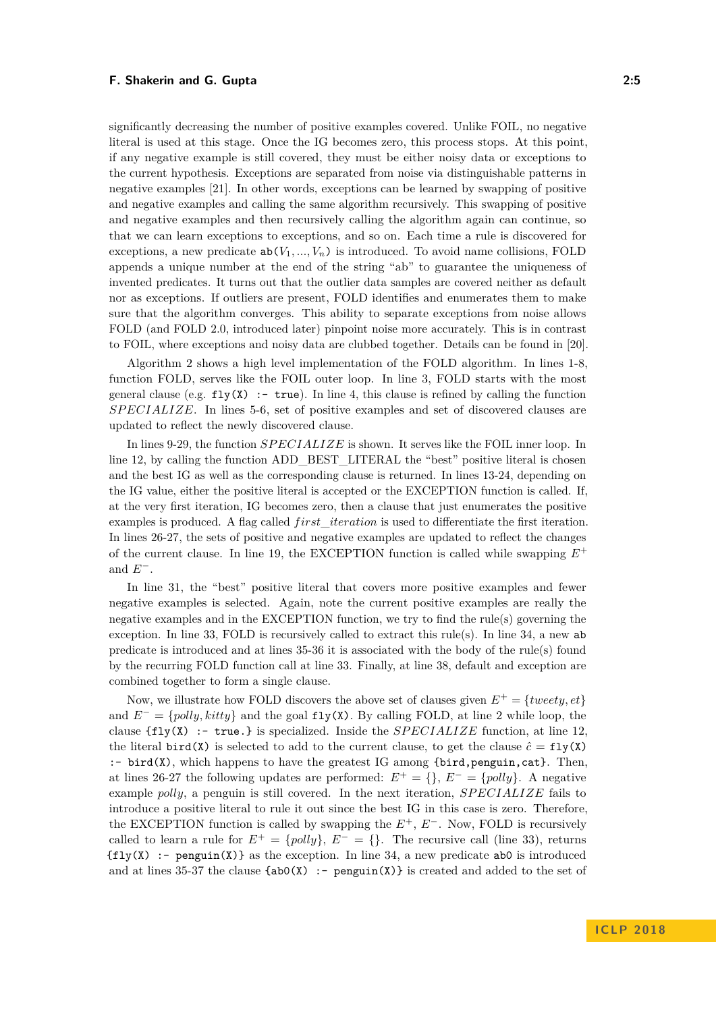significantly decreasing the number of positive examples covered. Unlike FOIL, no negative literal is used at this stage. Once the IG becomes zero, this process stops. At this point, if any negative example is still covered, they must be either noisy data or exceptions to the current hypothesis. Exceptions are separated from noise via distinguishable patterns in negative examples [\[21\]](#page-13-14). In other words, exceptions can be learned by swapping of positive and negative examples and calling the same algorithm recursively. This swapping of positive and negative examples and then recursively calling the algorithm again can continue, so that we can learn exceptions to exceptions, and so on. Each time a rule is discovered for exceptions, a new predicate  $ab(V_1, ..., V_n)$  is introduced. To avoid name collisions, FOLD appends a unique number at the end of the string "ab" to guarantee the uniqueness of invented predicates. It turns out that the outlier data samples are covered neither as default nor as exceptions. If outliers are present, FOLD identifies and enumerates them to make sure that the algorithm converges. This ability to separate exceptions from noise allows FOLD (and FOLD 2.0, introduced later) pinpoint noise more accurately. This is in contrast to FOIL, where exceptions and noisy data are clubbed together. Details can be found in [\[20\]](#page-13-7).

Algorithm [2](#page-5-0) shows a high level implementation of the FOLD algorithm. In lines 1-8, function FOLD, serves like the FOIL outer loop. In line 3, FOLD starts with the most general clause (e.g.  $fly(X)$ : - true). In line 4, this clause is refined by calling the function *SP ECIALIZE*. In lines 5-6, set of positive examples and set of discovered clauses are updated to reflect the newly discovered clause.

In lines 9-29, the function *SPECIALIZE* is shown. It serves like the FOIL inner loop. In line 12, by calling the function ADD\_BEST\_LITERAL the "best" positive literal is chosen and the best IG as well as the corresponding clause is returned. In lines 13-24, depending on the IG value, either the positive literal is accepted or the EXCEPTION function is called. If, at the very first iteration, IG becomes zero, then a clause that just enumerates the positive examples is produced. A flag called *f irst*\_*iteration* is used to differentiate the first iteration. In lines 26-27, the sets of positive and negative examples are updated to reflect the changes of the current clause. In line 19, the EXCEPTION function is called while swapping  $E^+$ and  $E^-$ .

In line 31, the "best" positive literal that covers more positive examples and fewer negative examples is selected. Again, note the current positive examples are really the negative examples and in the EXCEPTION function, we try to find the rule(s) governing the exception. In line 33, FOLD is recursively called to extract this rule(s). In line 34, a new ab predicate is introduced and at lines 35-36 it is associated with the body of the rule(s) found by the recurring FOLD function call at line 33. Finally, at line 38, default and exception are combined together to form a single clause.

Now, we illustrate how FOLD discovers the above set of clauses given  $E^+ = \{ \text{tweety}, \text{et} \}$ and *E*<sup>−</sup> = {*polly, kitty*} and the goal **fly(X)**. By calling FOLD, at line 2 while loop, the clause  $\text{ffly}(X)$ : - true.} is specialized. Inside the *SPECIALIZE* function, at line 12, the literal bird(X) is selected to add to the current clause, to get the clause  $\hat{c} = f \cdot \text{1y}(X)$  $:$  bird(X), which happens to have the greatest IG among {bird, penguin, cat}. Then, at lines 26-27 the following updates are performed:  $E^+ = \{\}, E^- = \{polly\}.$  A negative example *polly*, a penguin is still covered. In the next iteration, *SP ECIALIZE* fails to introduce a positive literal to rule it out since the best IG in this case is zero. Therefore, the EXCEPTION function is called by swapping the *E*<sup>+</sup>, *E*<sup>−</sup>. Now, FOLD is recursively called to learn a rule for  $E^+ = \{polly\}, E^- = \{\}.$  The recursive call (line 33), returns  $\{fly(X) : \text{-} \text{penguin}(X)\}\$ as the exception. In line 34, a new predicate abo is introduced and at lines 35-37 the clause  ${ab0(X) : - \text{penguin}(X)}$  is created and added to the set of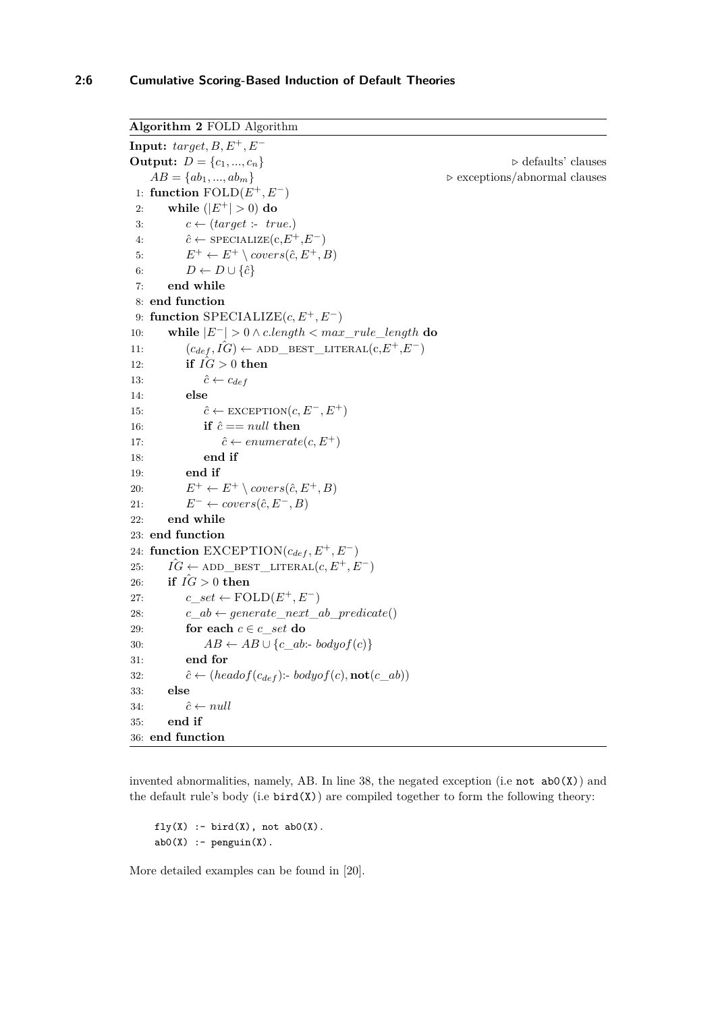```
Algorithm 2 FOLD Algorithm
Input: target, B, E^+, E^-Output: D = \{c_1, ..., c_n\} \triangleright defaults' clauses
    AB = \{ab_1, ..., ab_m\} \triangleright exceptions/abnormal clauses
 1: function FOLD(E+, E−)
 2: while (|E^+| > 0) do
 3: c \leftarrow (target : true.)4: \hat{c} \leftarrow \text{SPECIALIZE}(c, E^+, E^-)5: E^+ \leftarrow E^+ \setminus covers(\hat{c}, E^+, B)6: D \leftarrow D \cup \{\hat{c}\}\7: end while
 8: end function
 9: function SPECIALIZE(c, E+, E−)
10: while |E−| > 0 ∧ c.length < max_rule_length do
11: (c_{def}, \hat{IG}) \leftarrow \text{ADD\_BEST\_LITERAL}(c, E^+, E^-)12: if I\hat{G} > 0 then
13: \hat{c} \leftarrow c_{def}14: else
15: \hat{c} \leftarrow \text{EXCEPTION}(c, E^-, E^+)16: if \hat{c} == null then
17: \hat{c} \leftarrow enumerate(c, E^+)18: end if
19: end if
20: E^+ \leftarrow E^+ \setminus covers(\hat{c}, E^+, B)21: E^- \leftarrow covers(\hat{c}, E^-, B)22: end while
23: end function
24: function \text{EXCEPTION}(c_{def}, E^+, E^-)25: \hat{IG} \leftarrow ADD BEST LITERAL(c, E^+, E^-)26: if \hat{IG} > 0 then
27: c\_set \leftarrow \text{FOLD}(E^+, E^-)28: c \, ab \leftarrow \text{generate} \, next \, ab \, predicate()29: for each c \in c set do
30: AB \leftarrow AB \cup \{c\_ab : bodyof(c)\}31: end for
32: \hat{c} \leftarrow (headof(c_{def}) : \text{bodyof}(c), \text{not}(c\_ab))33: else
34: \hat{c} \leftarrow null35: end if
36: end function
```
invented abnormalities, namely, AB. In line 38, the negated exception (i.e not  $abO(X)$ ) and the default rule's body (i.e  $\text{bird}(X)$ ) are compiled together to form the following theory:

```
fly(X) :- bird(X), not abO(X).abO(X) :- penguin(X).
```
More detailed examples can be found in [\[20\]](#page-13-7).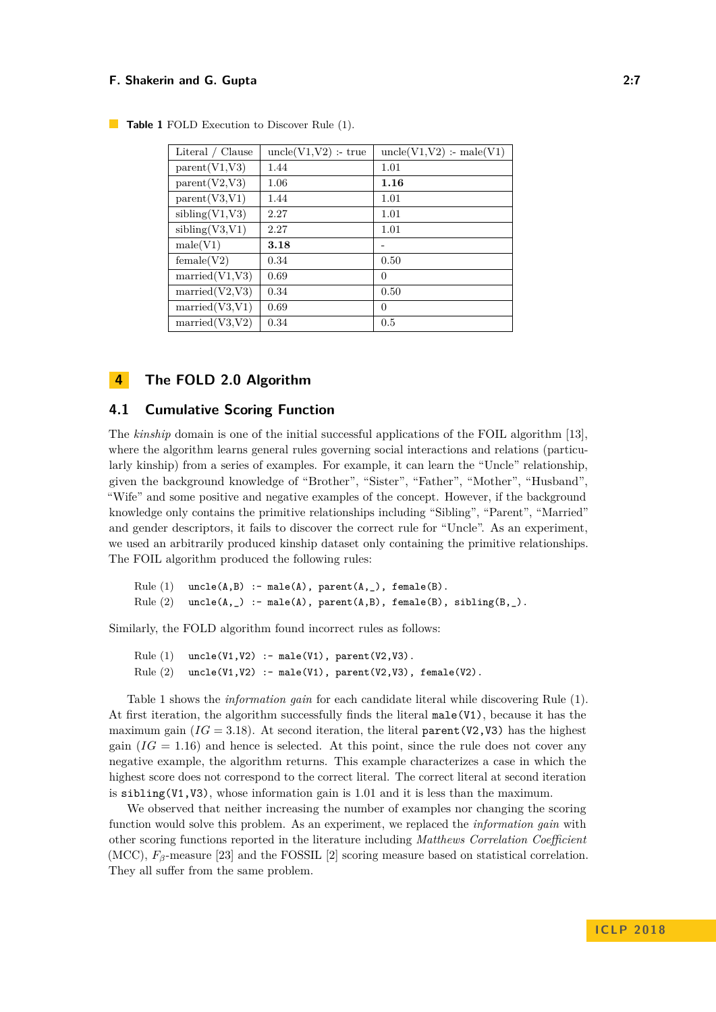| Literal / Clause        | $uncle(V1,V2)$ : true | $uncle(V1,V2)$ :- male(V1) |
|-------------------------|-----------------------|----------------------------|
| parent(V1,V3)           | 1.44                  | 1.01                       |
| parent(V2,V3)           | 1.06                  | 1.16                       |
| parent(V3,V1)           | 1.44                  | 1.01                       |
| sibling(V1,V3)          | 2.27                  | 1.01                       |
| sibling(V3,V1)          | 2.27                  | 1.01                       |
| male(V1)                | 3.18                  |                            |
| female(V2)              | 0.34                  | 0.50                       |
| $\text{married}(V1,V3)$ | 0.69                  | 0                          |
| $\text{married}(V2,V3)$ | 0.34                  | 0.50                       |
| $\text{married}(V3,V1)$ | 0.69                  | 0                          |
| $\text{married}(V3,V2)$ | 0.34                  | 0.5                        |

<span id="page-6-1"></span>**Table 1** FOLD Execution to Discover Rule (1).

## <span id="page-6-0"></span>**4 The FOLD 2.0 Algorithm**

#### **4.1 Cumulative Scoring Function**

The *kinship* domain is one of the initial successful applications of the FOIL algorithm [\[13\]](#page-13-6), where the algorithm learns general rules governing social interactions and relations (particularly kinship) from a series of examples. For example, it can learn the "Uncle" relationship, given the background knowledge of "Brother", "Sister", "Father", "Mother", "Husband", "Wife" and some positive and negative examples of the concept. However, if the background knowledge only contains the primitive relationships including "Sibling", "Parent", "Married" and gender descriptors, it fails to discover the correct rule for "Uncle". As an experiment, we used an arbitrarily produced kinship dataset only containing the primitive relationships. The FOIL algorithm produced the following rules:

```
Rule (1) uncle(A,B) :- male(A), parent(A, _{\_}), female(B).
Rule (2) uncle(A, _) :- male(A), parent(A,B), female(B), sibling(B, _).
```
Similarly, the FOLD algorithm found incorrect rules as follows:

```
Rule (1) uncle(V1,V2) :- male(V1), parent(V2,V3).
Rule (2) uncle(V1,V2) :- male(V1), parent(V2,V3), female(V2).
```
Table [1](#page-6-1) shows the *information gain* for each candidate literal while discovering Rule (1). At first iteration, the algorithm successfully finds the literal male(V1), because it has the maximum gain  $(IG = 3.18)$ . At second iteration, the literal parent (V2, V3) has the highest gain  $(IG = 1.16)$  and hence is selected. At this point, since the rule does not cover any negative example, the algorithm returns. This example characterizes a case in which the highest score does not correspond to the correct literal. The correct literal at second iteration is sibling(V1,V3), whose information gain is 1.01 and it is less than the maximum.

We observed that neither increasing the number of examples nor changing the scoring function would solve this problem. As an experiment, we replaced the *information gain* with other scoring functions reported in the literature including *Matthews Correlation Coefficient* (MCC),  $F_\beta$ -measure [\[23\]](#page-14-1) and the FOSSIL [\[2\]](#page-12-2) scoring measure based on statistical correlation. They all suffer from the same problem.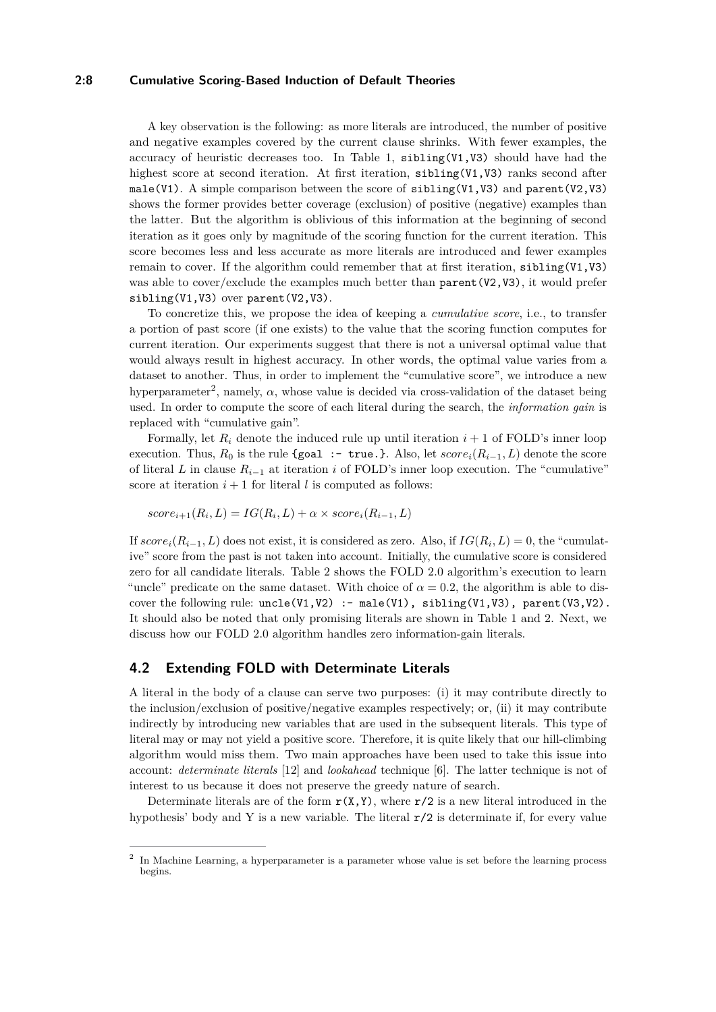#### **2:8 Cumulative Scoring-Based Induction of Default Theories**

A key observation is the following: as more literals are introduced, the number of positive and negative examples covered by the current clause shrinks. With fewer examples, the accuracy of heuristic decreases too. In Table [1,](#page-6-1) sibling(V1,V3) should have had the highest score at second iteration. At first iteration, sibling(V1,V3) ranks second after male(V1). A simple comparison between the score of  $sibling(V1,V3)$  and  $parent(V2,V3)$ shows the former provides better coverage (exclusion) of positive (negative) examples than the latter. But the algorithm is oblivious of this information at the beginning of second iteration as it goes only by magnitude of the scoring function for the current iteration. This score becomes less and less accurate as more literals are introduced and fewer examples remain to cover. If the algorithm could remember that at first iteration, sibling(V1,V3) was able to cover/exclude the examples much better than  $parent(V2,V3)$ , it would prefer sibling(V1,V3) over parent(V2,V3).

To concretize this, we propose the idea of keeping a *cumulative score*, i.e., to transfer a portion of past score (if one exists) to the value that the scoring function computes for current iteration. Our experiments suggest that there is not a universal optimal value that would always result in highest accuracy. In other words, the optimal value varies from a dataset to another. Thus, in order to implement the "cumulative score", we introduce a new hyperparameter<sup>[2](#page-7-0)</sup>, namely,  $\alpha$ , whose value is decided via cross-validation of the dataset being used. In order to compute the score of each literal during the search, the *information gain* is replaced with "cumulative gain".

Formally, let  $R_i$  denote the induced rule up until iteration  $i + 1$  of FOLD's inner loop execution. Thus,  $R_0$  is the rule {goal :- true.}. Also, let  $score_i(R_{i-1}, L)$  denote the score of literal *L* in clause  $R_{i-1}$  at iteration *i* of FOLD's inner loop execution. The "cumulative" score at iteration  $i + 1$  for literal *l* is computed as follows:

$$
score_{i+1}(R_i, L) = IG(R_i, L) + \alpha \times score_i(R_{i-1}, L)
$$

If  $score_i(R_{i-1}, L)$  does not exist, it is considered as zero. Also, if  $IG(R_i, L) = 0$ , the "cumulative" score from the past is not taken into account. Initially, the cumulative score is considered zero for all candidate literals. Table [2](#page-8-0) shows the FOLD 2.0 algorithm's execution to learn "uncle" predicate on the same dataset. With choice of  $\alpha = 0.2$ , the algorithm is able to discover the following rule:  $uncle(V1,V2)$  :- male(V1), sibling(V1,V3), parent(V3,V2). It should also be noted that only promising literals are shown in Table [1](#page-6-1) and [2.](#page-8-0) Next, we discuss how our FOLD 2.0 algorithm handles zero information-gain literals.

#### **4.2 Extending FOLD with Determinate Literals**

A literal in the body of a clause can serve two purposes: (i) it may contribute directly to the inclusion/exclusion of positive/negative examples respectively; or, (ii) it may contribute indirectly by introducing new variables that are used in the subsequent literals. This type of literal may or may not yield a positive score. Therefore, it is quite likely that our hill-climbing algorithm would miss them. Two main approaches have been used to take this issue into account: *determinate literals* [\[12\]](#page-13-11) and *lookahead* technique [\[6\]](#page-13-15). The latter technique is not of interest to us because it does not preserve the greedy nature of search.

Determinate literals are of the form  $r(X,Y)$ , where  $r/2$  is a new literal introduced in the hypothesis' body and Y is a new variable. The literal  $r/2$  is determinate if, for every value

<span id="page-7-0"></span><sup>&</sup>lt;sup>2</sup> In Machine Learning, a hyperparameter is a parameter whose value is set before the learning process begins.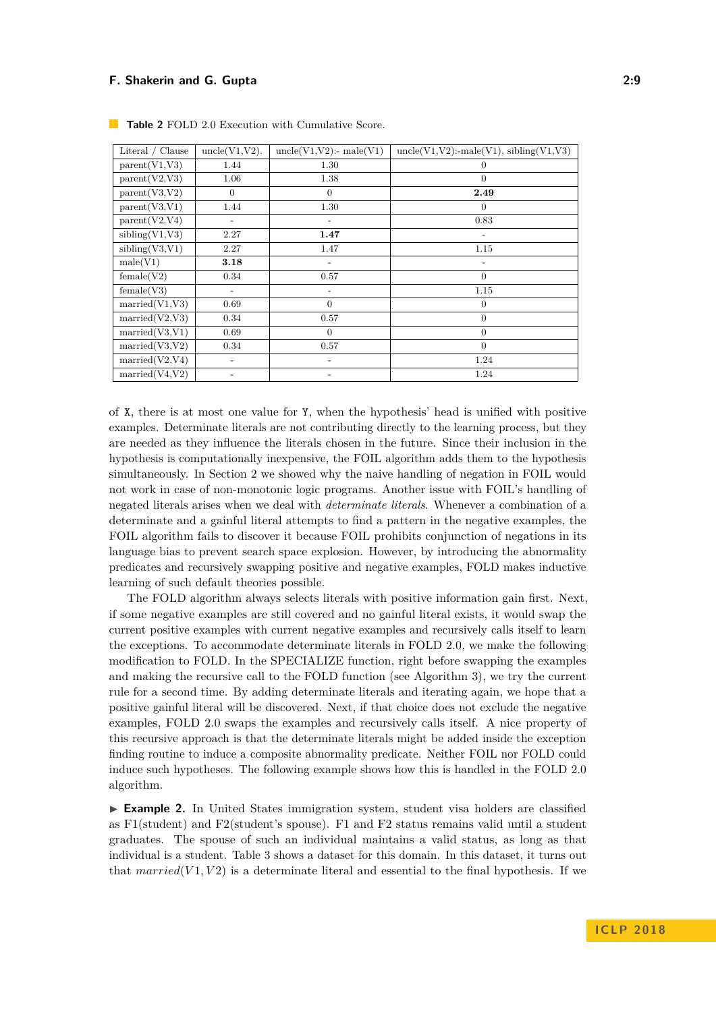| Literal / Clause        | $uncle(V1,V2)$ .  | $uncle(V1,V2)$ :- male $(V1)$ | $uncle(V1,V2):$ -male $(V1)$ , sibling $(V1,V3)$ |
|-------------------------|-------------------|-------------------------------|--------------------------------------------------|
| parent(V1,V3)           | 1.44              | 1.30                          | $\overline{0}$                                   |
| parent(V2,V3)           | 1.06              | 1.38                          | $\theta$                                         |
| parent(V3,V2)           | $\theta$          | $\Omega$                      | 2.49                                             |
| parent(V3,V1)           | 1.44              | 1.30                          | $\Omega$                                         |
| parent(V2,V4)           |                   |                               | 0.83                                             |
| sibling(V1,V3)          | 2.27              | 1.47                          |                                                  |
| sibling(V3,V1)          | 2.27              | 1.47                          | 1.15                                             |
| male(V1)                | 3.18              | $\overline{\phantom{a}}$      | $\overline{\phantom{0}}$                         |
| female(V2)              | 0.34              | 0.57                          | $\theta$                                         |
| female(V3)              |                   | $\overline{\phantom{0}}$      | 1.15                                             |
| $\text{married}(V1,V3)$ | 0.69              | $\Omega$                      | $\theta$                                         |
| $\text{married}(V2,V3)$ | 0.34              | 0.57                          | $\overline{0}$                                   |
| $\text{married}(V3,V1)$ | 0.69              | $\overline{0}$                | $\mathbf{0}$                                     |
| $\text{married}(V3,V2)$ | 0.34              | 0.57                          | $\theta$                                         |
| $\text{married}(V2,V4)$ | $\overline{a}$    | $\overline{a}$                | 1.24                                             |
| $\text{married}(V4,V2)$ | $\qquad \qquad -$ |                               | 1.24                                             |

<span id="page-8-0"></span>**Table 2** FOLD 2.0 Execution with Cumulative Score.

of X, there is at most one value for Y, when the hypothesis' head is unified with positive examples. Determinate literals are not contributing directly to the learning process, but they are needed as they influence the literals chosen in the future. Since their inclusion in the hypothesis is computationally inexpensive, the FOIL algorithm adds them to the hypothesis simultaneously. In Section [2](#page-2-0) we showed why the naive handling of negation in FOIL would not work in case of non-monotonic logic programs. Another issue with FOIL's handling of negated literals arises when we deal with *determinate literals*. Whenever a combination of a determinate and a gainful literal attempts to find a pattern in the negative examples, the FOIL algorithm fails to discover it because FOIL prohibits conjunction of negations in its language bias to prevent search space explosion. However, by introducing the abnormality predicates and recursively swapping positive and negative examples, FOLD makes inductive learning of such default theories possible.

The FOLD algorithm always selects literals with positive information gain first. Next, if some negative examples are still covered and no gainful literal exists, it would swap the current positive examples with current negative examples and recursively calls itself to learn the exceptions. To accommodate determinate literals in FOLD 2.0, we make the following modification to FOLD. In the SPECIALIZE function, right before swapping the examples and making the recursive call to the FOLD function (see Algorithm [3\)](#page-9-1), we try the current rule for a second time. By adding determinate literals and iterating again, we hope that a positive gainful literal will be discovered. Next, if that choice does not exclude the negative examples, FOLD 2.0 swaps the examples and recursively calls itself. A nice property of this recursive approach is that the determinate literals might be added inside the exception finding routine to induce a composite abnormality predicate. Neither FOIL nor FOLD could induce such hypotheses. The following example shows how this is handled in the FOLD 2.0 algorithm.

► **Example 2.** In United States immigration system, student visa holders are classified as F1(student) and F2(student's spouse). F1 and F2 status remains valid until a student graduates. The spouse of such an individual maintains a valid status, as long as that individual is a student. Table [3](#page-10-0) shows a dataset for this domain. In this dataset, it turns out that  $married(V1, V2)$  is a determinate literal and essential to the final hypothesis. If we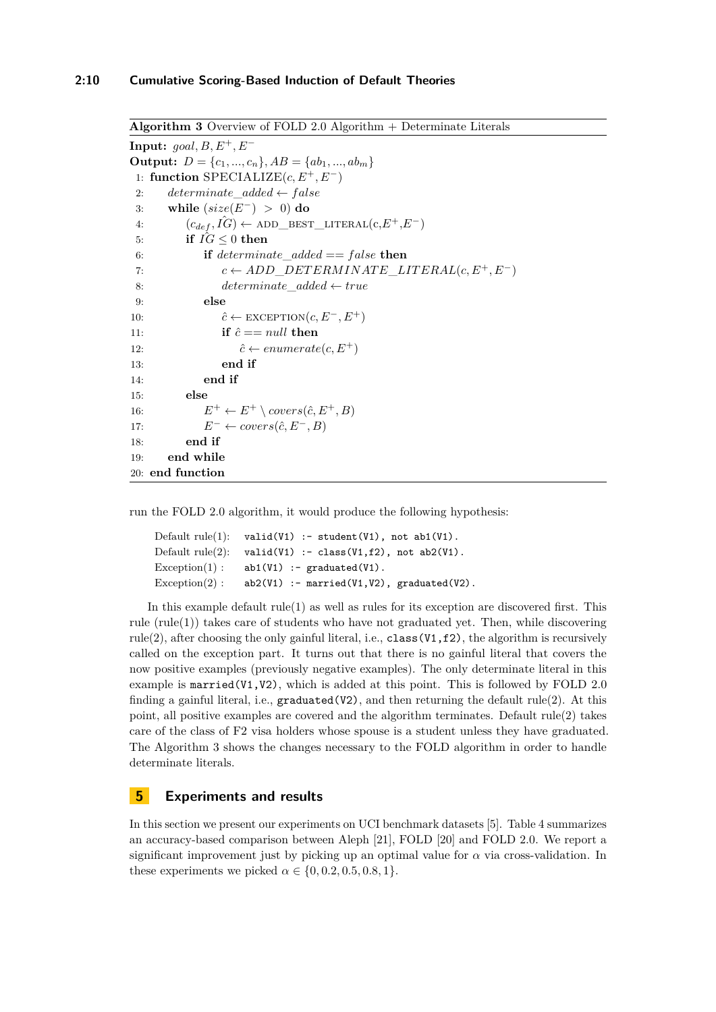```
Algorithm 3 Overview of FOLD 2.0 Algorithm + Determinate Literals
Input: goal, B, E^+, E^-Output: D = \{c_1, ..., c_n\}, AB = \{ab_1, ..., ab_m\}1: function SPECIALIZE(c, E+, E−)
2: determinate added \leftarrow false3: while (size(E−) > 0) do
 4: (c_{def}, I\hat{G}) \leftarrow ADD_BEST_LITERAL(c, E^+, E^-)5: if IG \leq 0 then
 6: if determinate_added == f alse then
 7: c \leftarrow ADD DEFERMINATE LITERAL(c, E^+, E^-)8: determinate_added ← true
 9: else
10: \hat{c} \leftarrow \text{EXECPITION}(c, E^-, E^+)11: if \hat{c} == null then
12: \hat{c} \leftarrow enumerate(c, E^+)13: end if
14: end if
15: else
16: E^+ \leftarrow E^+ \setminus covers(\hat{c}, E^+, B)17: E^- \leftarrow covers(\hat{c}, E^-, B)18: end if
19: end while
20: end function
```
run the FOLD 2.0 algorithm, it would produce the following hypothesis:

```
Default rule(1): valid(V1) :- student(V1), not ab1(V1).
Default rule(2): valid(V1) :- class(V1,f2), not ab2(V1).
Exception(1): ab1(V1): graduated(V1).
Exception(2): ab2(V1): - married(V1,V2), graduated(V2).
```
In this example default rule(1) as well as rules for its exception are discovered first. This rule  $(rule(1))$  takes care of students who have not graduated yet. Then, while discovering rule(2), after choosing the only gainful literal, i.e.,  $class(V1, f2)$ , the algorithm is recursively called on the exception part. It turns out that there is no gainful literal that covers the now positive examples (previously negative examples). The only determinate literal in this example is  $\text{married}(V1,V2)$ , which is added at this point. This is followed by FOLD 2.0 finding a gainful literal, i.e.,  $\text{graduated(V2)}$ , and then returning the default rule(2). At this point, all positive examples are covered and the algorithm terminates. Default rule(2) takes care of the class of F2 visa holders whose spouse is a student unless they have graduated. The Algorithm [3](#page-9-1) shows the changes necessary to the FOLD algorithm in order to handle determinate literals.

# <span id="page-9-0"></span>**5 Experiments and results**

In this section we present our experiments on UCI benchmark datasets [\[5\]](#page-13-16). Table [4](#page-11-1) summarizes an accuracy-based comparison between Aleph [\[21\]](#page-13-14), FOLD [\[20\]](#page-13-7) and FOLD 2.0. We report a significant improvement just by picking up an optimal value for  $\alpha$  via cross-validation. In these experiments we picked  $\alpha \in \{0, 0.2, 0.5, 0.8, 1\}.$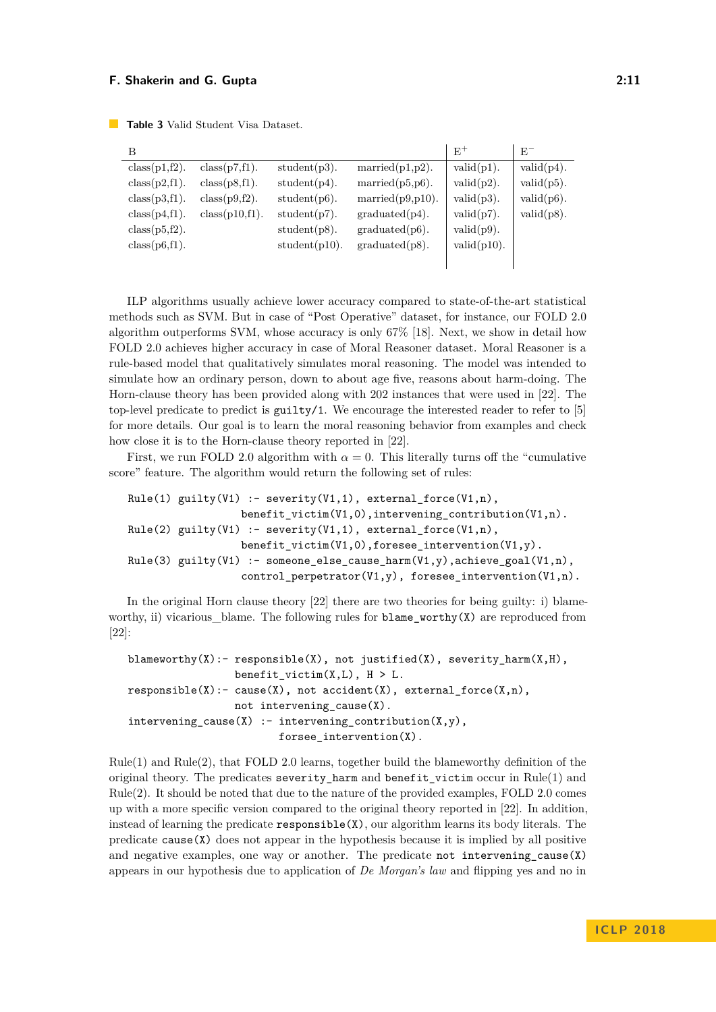<span id="page-10-0"></span>**Table 3** Valid Student Visa Dataset.

| B             |                  |                 |                          | $E^+$          | $E^-$         |
|---------------|------------------|-----------------|--------------------------|----------------|---------------|
| class(p1,f2). | $class(p7,f1)$ . | $student(p3)$ . | $\text{married}(p1,p2).$ | $valid(p1)$ .  | $valid(p4)$ . |
| class(p2,f1). | class(p8,f1).    | student(p4).    | married $(p5,p6)$ .      | $valid(p2)$ .  | $valid(p5)$ . |
| class(p3,f1). | class(p9,f2).    | $student(p6)$ . | married $(p9,p10)$ .     | $valid(p3)$ .  | $valid(p6)$ . |
| class(p4,f1). | class(p10,f1).   | $student(p7)$ . | graduated(p4).           | $valid(p7)$ .  | $valid(p8)$ . |
| class(p5,f2). |                  | $student(p8)$ . | $graduated(p6)$ .        | $valid(p9)$ .  |               |
| class(p6,f1). |                  | student(p10).   | $graduated(p8)$ .        | $valid(p10)$ . |               |
|               |                  |                 |                          |                |               |

ILP algorithms usually achieve lower accuracy compared to state-of-the-art statistical methods such as SVM. But in case of "Post Operative" dataset, for instance, our FOLD 2.0 algorithm outperforms SVM, whose accuracy is only 67% [\[18\]](#page-13-17). Next, we show in detail how FOLD 2.0 achieves higher accuracy in case of Moral Reasoner dataset. Moral Reasoner is a rule-based model that qualitatively simulates moral reasoning. The model was intended to simulate how an ordinary person, down to about age five, reasons about harm-doing. The Horn-clause theory has been provided along with 202 instances that were used in [\[22\]](#page-14-2). The top-level predicate to predict is guilty/1. We encourage the interested reader to refer to [\[5\]](#page-13-16) for more details. Our goal is to learn the moral reasoning behavior from examples and check how close it is to the Horn-clause theory reported in [\[22\]](#page-14-2).

First, we run FOLD 2.0 algorithm with  $\alpha = 0$ . This literally turns off the "cumulative" score" feature. The algorithm would return the following set of rules:

```
Rule(1) guilty(V1) :- severity(V1,1), external force(V1,n),
                  benefit_victim(V1,0),intervening_contribution(V1,n).
Rule(2) guilty(V1) :- severity(V1,1), external_force(V1,n),
                  benefit_victim(V1,0),foresee_intervention(V1,y).
Rule(3) guilty(V1) :- someone_else_cause_harm(V1,y),achieve_goal(V1,n),
                  control_perpetrator(V1,y), foresee_intervention(V1,n).
```
In the original Horn clause theory [\[22\]](#page-14-2) there are two theories for being guilty: i) blameworthy, ii) vicarious blame. The following rules for blame worthy $(X)$  are reproduced from [\[22\]](#page-14-2):

```
blameworthy(X):- responsible(X), not justified(X), severity_harm(X,H),
                 benefit_victim(X, L), H > L.
responsible(X): = cause(X), not accident(X), extendInorder(X,n),not intervening_cause(X).
intervening cause(X) :- intervening contribution(X,y),
                        forsee_intervention(X).
```
 $Rule(1)$  and  $Rule(2)$ , that FOLD 2.0 learns, together build the blameworthy definition of the original theory. The predicates severity harm and benefit victim occur in Rule(1) and Rule(2). It should be noted that due to the nature of the provided examples, FOLD 2.0 comes up with a more specific version compared to the original theory reported in [\[22\]](#page-14-2). In addition, instead of learning the predicate  $\mathtt{response}(\mathbf{X})$ , our algorithm learns its body literals. The predicate  $\text{cause}(X)$  does not appear in the hypothesis because it is implied by all positive and negative examples, one way or another. The predicate not intervening\_cause(X) appears in our hypothesis due to application of *De Morgan's law* and flipping yes and no in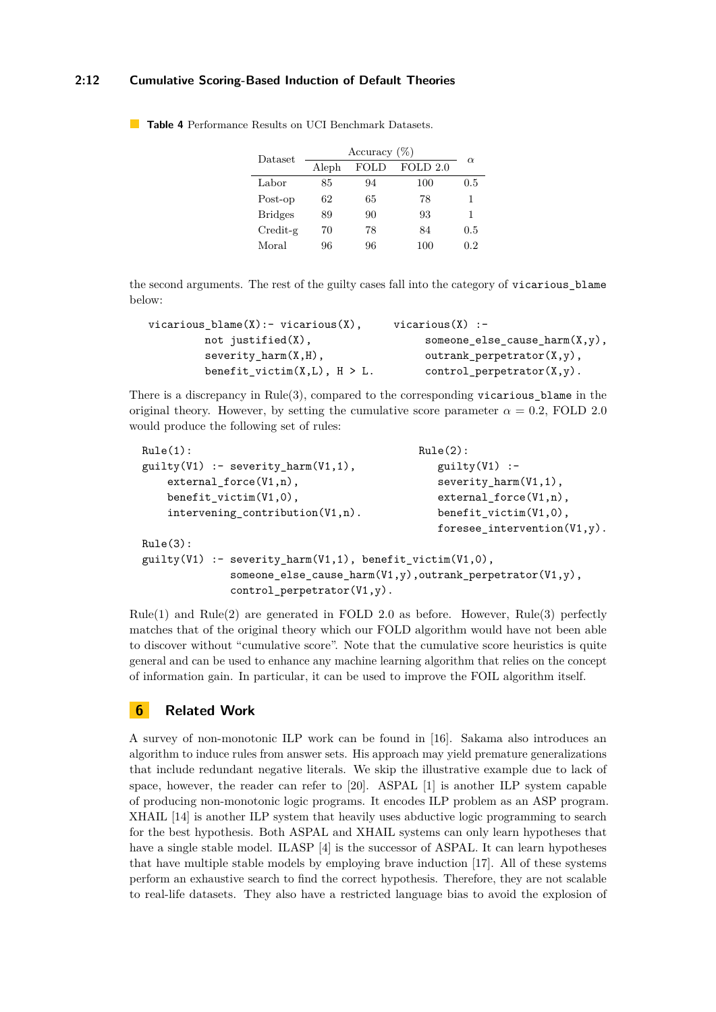#### **2:12 Cumulative Scoring-Based Induction of Default Theories**

| Dataset              | Accuracy $(\%)$ |      |          | $\alpha$ |
|----------------------|-----------------|------|----------|----------|
|                      | Aleph           | FOLD | FOLD 2.0 |          |
| Labor                | 85              | 94   | 100      | 0.5      |
| Post-op              | 62              | 65   | 78       | 1        |
| <b>Bridges</b>       | 89              | 90   | 93       | 1        |
| $C_{\text{redit-g}}$ | 70              | 78   | 84       | 0.5      |
| Moral                | 96              | 96   | 100      | 0.2      |

<span id="page-11-1"></span>**Table 4** Performance Results on UCI Benchmark Datasets.

the second arguments. The rest of the guilty cases fall into the category of vicarious\_blame below:

| vicarious $blame(X) := vicarious(X)$ , | $vicarious(X)$ :-                        |
|----------------------------------------|------------------------------------------|
| not justified $(X)$ ,                  | someone else cause $\text{harm}(X, y)$ , |
| severity $harm(X,H)$ ,                 | outrank perpetrator $(X, y)$ ,           |
| benefit_victim $(X, L)$ , $H > L$ .    | $control_{perpetrator}(X, y)$ .          |

There is a discrepancy in  $Rule(3)$ , compared to the corresponding vicarious\_blame in the original theory. However, by setting the cumulative score parameter  $\alpha = 0.2$ , FOLD 2.0 would produce the following set of rules:

```
Rule(1): Rule(2):guilty(V1) :- severity_harm(V1,1), gultiply(V1) :-
   external force(V1,n), severity harm(V1,1),
   benefit_victim(V1,0), external_force(V1,n),
   intervening_contribution(V1,n). benefit_victim(V1,0),
                                      foresee intervention(V1,y).
Rule(3):
guality(V1) :- severity_harm(V1,1), benefit_victim(V1,0),
           someone else cause harm(V1,y),outrank perpetrator(V1,y),
           control_perpetrator(V1,y).
```
 $Rule(1)$  and  $Rule(2)$  are generated in FOLD 2.0 as before. However,  $Rule(3)$  perfectly matches that of the original theory which our FOLD algorithm would have not been able to discover without "cumulative score". Note that the cumulative score heuristics is quite general and can be used to enhance any machine learning algorithm that relies on the concept of information gain. In particular, it can be used to improve the FOIL algorithm itself.

## <span id="page-11-0"></span>**6 Related Work**

A survey of non-monotonic ILP work can be found in [\[16\]](#page-13-2). Sakama also introduces an algorithm to induce rules from answer sets. His approach may yield premature generalizations that include redundant negative literals. We skip the illustrative example due to lack of space, however, the reader can refer to [\[20\]](#page-13-7). ASPAL [\[1\]](#page-12-0) is another ILP system capable of producing non-monotonic logic programs. It encodes ILP problem as an ASP program. XHAIL [\[14\]](#page-13-18) is another ILP system that heavily uses abductive logic programming to search for the best hypothesis. Both ASPAL and XHAIL systems can only learn hypotheses that have a single stable model. ILASP [\[4\]](#page-13-4) is the successor of ASPAL. It can learn hypotheses that have multiple stable models by employing brave induction [\[17\]](#page-13-3). All of these systems perform an exhaustive search to find the correct hypothesis. Therefore, they are not scalable to real-life datasets. They also have a restricted language bias to avoid the explosion of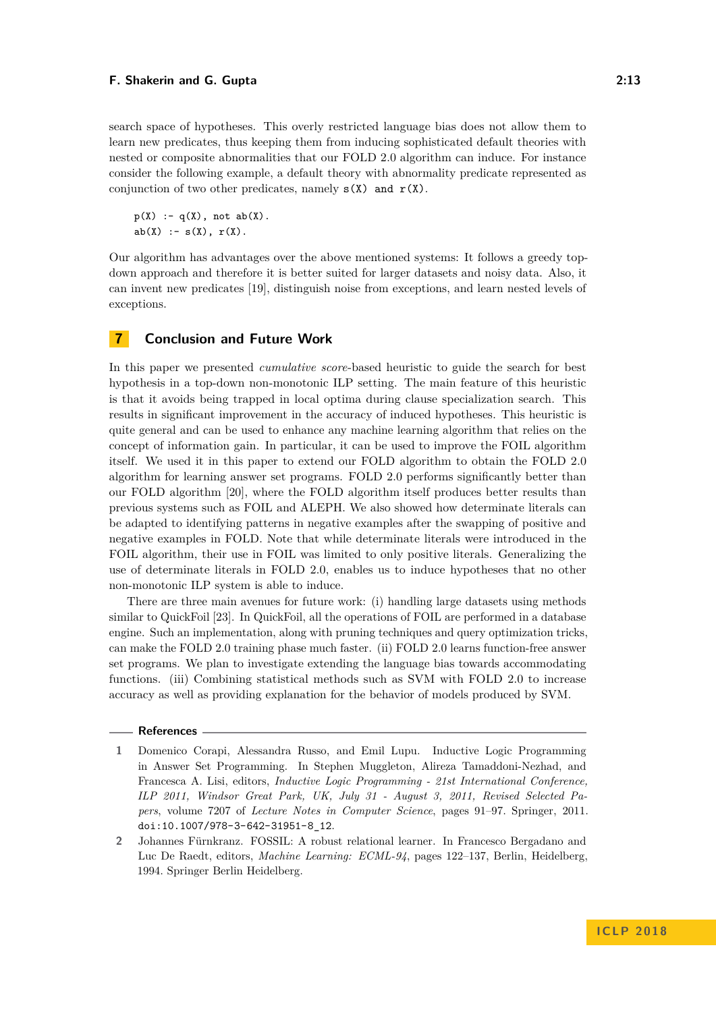search space of hypotheses. This overly restricted language bias does not allow them to learn new predicates, thus keeping them from inducing sophisticated default theories with nested or composite abnormalities that our FOLD 2.0 algorithm can induce. For instance consider the following example, a default theory with abnormality predicate represented as conjunction of two other predicates, namely  $s(X)$  and  $r(X)$ .

 $p(X)$  :-  $q(X)$ , not  $ab(X)$ .  $ab(X) := s(X), r(X).$ 

Our algorithm has advantages over the above mentioned systems: It follows a greedy topdown approach and therefore it is better suited for larger datasets and noisy data. Also, it can invent new predicates [\[19\]](#page-13-10), distinguish noise from exceptions, and learn nested levels of exceptions.

<span id="page-12-1"></span>

#### **7 Conclusion and Future Work**

In this paper we presented *cumulative score*-based heuristic to guide the search for best hypothesis in a top-down non-monotonic ILP setting. The main feature of this heuristic is that it avoids being trapped in local optima during clause specialization search. This results in significant improvement in the accuracy of induced hypotheses. This heuristic is quite general and can be used to enhance any machine learning algorithm that relies on the concept of information gain. In particular, it can be used to improve the FOIL algorithm itself. We used it in this paper to extend our FOLD algorithm to obtain the FOLD 2.0 algorithm for learning answer set programs. FOLD 2.0 performs significantly better than our FOLD algorithm [\[20\]](#page-13-7), where the FOLD algorithm itself produces better results than previous systems such as FOIL and ALEPH. We also showed how determinate literals can be adapted to identifying patterns in negative examples after the swapping of positive and negative examples in FOLD. Note that while determinate literals were introduced in the FOIL algorithm, their use in FOIL was limited to only positive literals. Generalizing the use of determinate literals in FOLD 2.0, enables us to induce hypotheses that no other non-monotonic ILP system is able to induce.

There are three main avenues for future work: (i) handling large datasets using methods similar to QuickFoil [\[23\]](#page-14-1). In QuickFoil, all the operations of FOIL are performed in a database engine. Such an implementation, along with pruning techniques and query optimization tricks, can make the FOLD 2.0 training phase much faster. (ii) FOLD 2.0 learns function-free answer set programs. We plan to investigate extending the language bias towards accommodating functions. (iii) Combining statistical methods such as SVM with FOLD 2.0 to increase accuracy as well as providing explanation for the behavior of models produced by SVM.

#### **References**

- <span id="page-12-0"></span>**1** Domenico Corapi, Alessandra Russo, and Emil Lupu. Inductive Logic Programming in Answer Set Programming. In Stephen Muggleton, Alireza Tamaddoni-Nezhad, and Francesca A. Lisi, editors, *Inductive Logic Programming - 21st International Conference, ILP 2011, Windsor Great Park, UK, July 31 - August 3, 2011, Revised Selected Papers*, volume 7207 of *Lecture Notes in Computer Science*, pages 91–97. Springer, 2011. [doi:10.1007/978-3-642-31951-8\\_12](http://dx.doi.org/10.1007/978-3-642-31951-8_12).
- <span id="page-12-2"></span>**2** Johannes Fürnkranz. FOSSIL: A robust relational learner. In Francesco Bergadano and Luc De Raedt, editors, *Machine Learning: ECML-94*, pages 122–137, Berlin, Heidelberg, 1994. Springer Berlin Heidelberg.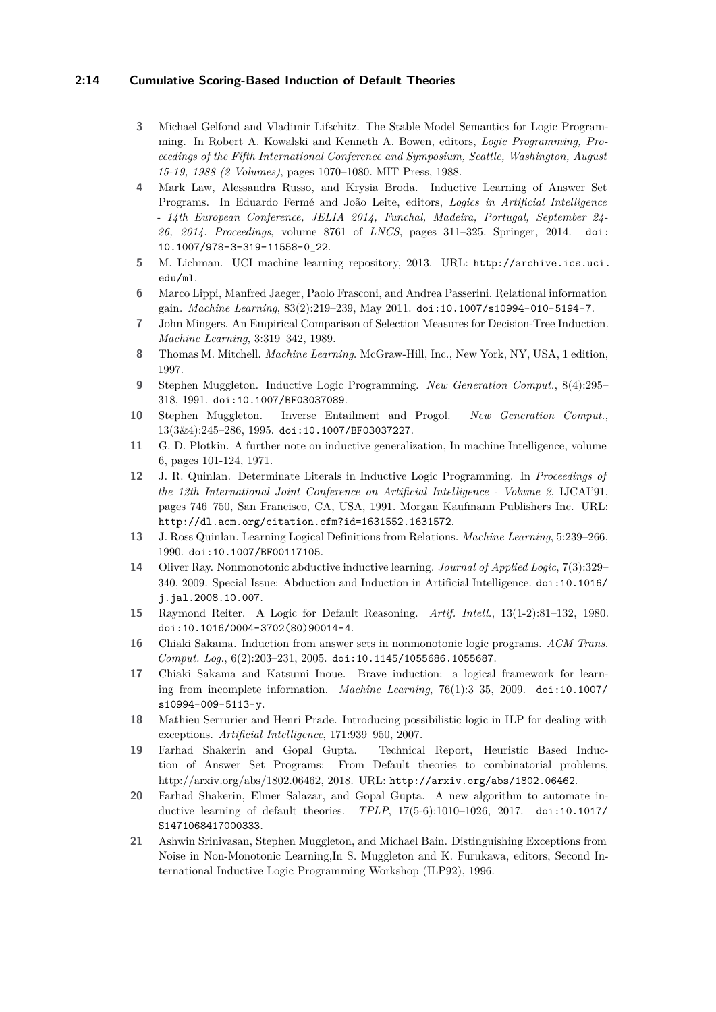#### **2:14 Cumulative Scoring-Based Induction of Default Theories**

- <span id="page-13-8"></span>**3** Michael Gelfond and Vladimir Lifschitz. The Stable Model Semantics for Logic Programming. In Robert A. Kowalski and Kenneth A. Bowen, editors, *Logic Programming, Proceedings of the Fifth International Conference and Symposium, Seattle, Washington, August 15-19, 1988 (2 Volumes)*, pages 1070–1080. MIT Press, 1988.
- <span id="page-13-4"></span>**4** Mark Law, Alessandra Russo, and Krysia Broda. Inductive Learning of Answer Set Programs. In Eduardo Fermé and João Leite, editors, *Logics in Artificial Intelligence - 14th European Conference, JELIA 2014, Funchal, Madeira, Portugal, September 24- 26, 2014. Proceedings*, volume 8761 of *LNCS*, pages 311–325. Springer, 2014. [doi:](http://dx.doi.org/10.1007/978-3-319-11558-0_22) [10.1007/978-3-319-11558-0\\_22](http://dx.doi.org/10.1007/978-3-319-11558-0_22).
- <span id="page-13-16"></span>**5** M. Lichman. UCI machine learning repository, 2013. URL: [http://archive.ics.uci.](http://archive.ics.uci.edu/ml) [edu/ml](http://archive.ics.uci.edu/ml).
- <span id="page-13-15"></span>**6** Marco Lippi, Manfred Jaeger, Paolo Frasconi, and Andrea Passerini. Relational information gain. *Machine Learning*, 83(2):219–239, May 2011. [doi:10.1007/s10994-010-5194-7](http://dx.doi.org/10.1007/s10994-010-5194-7).
- <span id="page-13-9"></span>**7** John Mingers. An Empirical Comparison of Selection Measures for Decision-Tree Induction. *Machine Learning*, 3:319–342, 1989.
- <span id="page-13-13"></span>**8** Thomas M. Mitchell. *Machine Learning*. McGraw-Hill, Inc., New York, NY, USA, 1 edition, 1997.
- <span id="page-13-1"></span>**9** Stephen Muggleton. Inductive Logic Programming. *New Generation Comput.*, 8(4):295– 318, 1991. [doi:10.1007/BF03037089](http://dx.doi.org/10.1007/BF03037089).
- <span id="page-13-5"></span>**10** Stephen Muggleton. Inverse Entailment and Progol. *New Generation Comput.*, 13(3&4):245–286, 1995. [doi:10.1007/BF03037227](http://dx.doi.org/10.1007/BF03037227).
- <span id="page-13-12"></span>**11** G. D. Plotkin. A further note on inductive generalization, In machine Intelligence, volume 6, pages 101-124, 1971.
- <span id="page-13-11"></span>**12** J. R. Quinlan. Determinate Literals in Inductive Logic Programming. In *Proceedings of the 12th International Joint Conference on Artificial Intelligence - Volume 2*, IJCAI'91, pages 746–750, San Francisco, CA, USA, 1991. Morgan Kaufmann Publishers Inc. URL: <http://dl.acm.org/citation.cfm?id=1631552.1631572>.
- <span id="page-13-6"></span>**13** J. Ross Quinlan. Learning Logical Definitions from Relations. *Machine Learning*, 5:239–266, 1990. [doi:10.1007/BF00117105](http://dx.doi.org/10.1007/BF00117105).
- <span id="page-13-18"></span>**14** Oliver Ray. Nonmonotonic abductive inductive learning. *Journal of Applied Logic*, 7(3):329– 340, 2009. Special Issue: Abduction and Induction in Artificial Intelligence. [doi:10.1016/](http://dx.doi.org/10.1016/j.jal.2008.10.007) [j.jal.2008.10.007](http://dx.doi.org/10.1016/j.jal.2008.10.007).
- <span id="page-13-0"></span>**15** Raymond Reiter. A Logic for Default Reasoning. *Artif. Intell.*, 13(1-2):81–132, 1980. [doi:10.1016/0004-3702\(80\)90014-4](http://dx.doi.org/10.1016/0004-3702(80)90014-4).
- <span id="page-13-2"></span>**16** Chiaki Sakama. Induction from answer sets in nonmonotonic logic programs. *ACM Trans. Comput. Log.*, 6(2):203–231, 2005. [doi:10.1145/1055686.1055687](http://dx.doi.org/10.1145/1055686.1055687).
- <span id="page-13-3"></span>**17** Chiaki Sakama and Katsumi Inoue. Brave induction: a logical framework for learning from incomplete information. *Machine Learning*, 76(1):3–35, 2009. [doi:10.1007/](http://dx.doi.org/10.1007/s10994-009-5113-y) [s10994-009-5113-y](http://dx.doi.org/10.1007/s10994-009-5113-y).
- <span id="page-13-17"></span>**18** Mathieu Serrurier and Henri Prade. Introducing possibilistic logic in ILP for dealing with exceptions. *Artificial Intelligence*, 171:939–950, 2007.
- <span id="page-13-10"></span>**19** Farhad Shakerin and Gopal Gupta. Technical Report, Heuristic Based Induction of Answer Set Programs: From Default theories to combinatorial problems, http://arxiv.org/abs/1802.06462, 2018. URL: <http://arxiv.org/abs/1802.06462>.
- <span id="page-13-7"></span>**20** Farhad Shakerin, Elmer Salazar, and Gopal Gupta. A new algorithm to automate inductive learning of default theories. *TPLP*, 17(5-6):1010–1026, 2017. [doi:10.1017/](http://dx.doi.org/10.1017/S1471068417000333) [S1471068417000333](http://dx.doi.org/10.1017/S1471068417000333).
- <span id="page-13-14"></span>**21** Ashwin Srinivasan, Stephen Muggleton, and Michael Bain. Distinguishing Exceptions from Noise in Non-Monotonic Learning,In S. Muggleton and K. Furukawa, editors, Second International Inductive Logic Programming Workshop (ILP92), 1996.